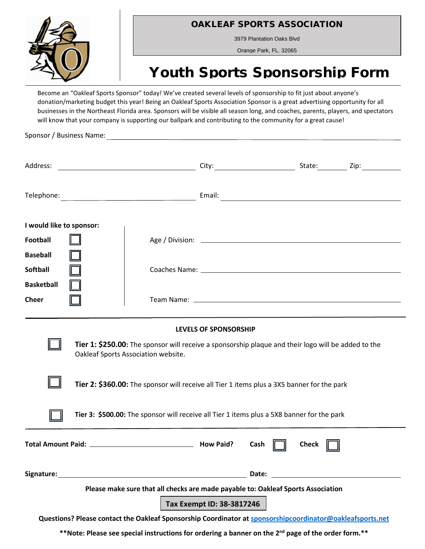

OAKLEAF SPORTS ASSOCIATION

3979 Plantation Oaks Blvd

Orange Park, FL. 32065

## Youth Sports Sponsorship Form

Become an "Oakleaf Sports Sponsor" today! We've created several levels of sponsorship to fit just about anyone's donation/marketing budget this year! Being an Oakleaf Sports Association Sponsor is a great advertising opportunity for all businesses in the Northeast Florida area. Sponsors will be visible all season long, and coaches, parents, players, and spectators will know that your company is supporting our ballpark and contributing to the community for a great cause!

Sponsor / Business Name:

| I would like to sponsor:                                                                                                                                                                                                                                                                                                                                        |  |      |  |              |  |  |
|-----------------------------------------------------------------------------------------------------------------------------------------------------------------------------------------------------------------------------------------------------------------------------------------------------------------------------------------------------------------|--|------|--|--------------|--|--|
| <b>Football</b>                                                                                                                                                                                                                                                                                                                                                 |  |      |  |              |  |  |
| <b>Baseball</b>                                                                                                                                                                                                                                                                                                                                                 |  |      |  |              |  |  |
| <b>Softball</b>                                                                                                                                                                                                                                                                                                                                                 |  |      |  |              |  |  |
| <b>Basketball</b><br><b>Cheer</b>                                                                                                                                                                                                                                                                                                                               |  |      |  |              |  |  |
| LEVELS OF SPONSORSHIP<br>Tier 1: \$250.00: The sponsor will receive a sponsorship plaque and their logo will be added to the<br>Oakleaf Sports Association website.<br>Tier 2: \$360.00: The sponsor will receive all Tier 1 items plus a 3X5 banner for the park<br>Tier 3: \$500.00: The sponsor will receive all Tier 1 items plus a 5X8 banner for the park |  |      |  |              |  |  |
|                                                                                                                                                                                                                                                                                                                                                                 |  | Cash |  | <b>Check</b> |  |  |
|                                                                                                                                                                                                                                                                                                                                                                 |  |      |  |              |  |  |
| Please make sure that all checks are made payable to: Oakleaf Sports Association<br>Tax Exempt ID: 38-3817246<br>Questions? Please contact the Oakleaf Sponsorship Coordinator at sponsorshipcoordinator@oakleafsports.net                                                                                                                                      |  |      |  |              |  |  |
|                                                                                                                                                                                                                                                                                                                                                                 |  |      |  |              |  |  |

**\*\*Note: Please see special instructions for ordering a banner on the 2nd page of the order form.\*\***